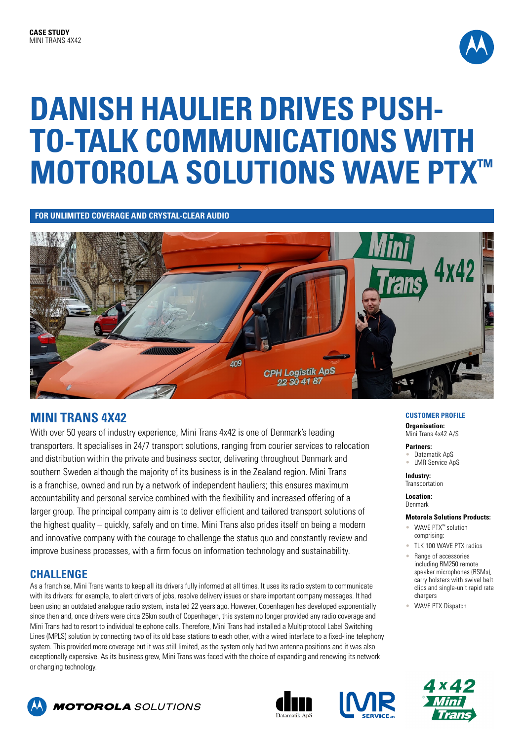

# **DANISH HAULIER DRIVES PUSH-TO-TALK COMMUNICATIONS WITH MOTOROLA SOLUTIONS WAVE PTX™**

**FOR UNLIMITED COVERAGE AND CRYSTAL-CLEAR AUDIO**



## **MINI TRANS 4X42**

With over 50 years of industry experience, Mini Trans 4x42 is one of Denmark's leading transporters. It specialises in 24/7 transport solutions, ranging from courier services to relocation and distribution within the private and business sector, delivering throughout Denmark and southern Sweden although the majority of its business is in the Zealand region. Mini Trans is a franchise, owned and run by a network of independent hauliers; this ensures maximum accountability and personal service combined with the flexibility and increased offering of a larger group. The principal company aim is to deliver efficient and tailored transport solutions of the highest quality – quickly, safely and on time. Mini Trans also prides itself on being a modern and innovative company with the courage to challenge the status quo and constantly review and improve business processes, with a firm focus on information technology and sustainability.

## **CHALLENGE**

As a franchise, Mini Trans wants to keep all its drivers fully informed at all times. It uses its radio system to communicate with its drivers: for example, to alert drivers of jobs, resolve delivery issues or share important company messages. It had been using an outdated analogue radio system, installed 22 years ago. However, Copenhagen has developed exponentially since then and, once drivers were circa 25km south of Copenhagen, this system no longer provided any radio coverage and Mini Trans had to resort to individual telephone calls. Therefore, Mini Trans had installed a Multiprotocol Label Switching Lines (MPLS) solution by connecting two of its old base stations to each other, with a wired interface to a fixed-line telephony system. This provided more coverage but it was still limited, as the system only had two antenna positions and it was also exceptionally expensive. As its business grew, Mini Trans was faced with the choice of expanding and renewing its network or changing technology.

### **CUSTOMER PROFILE**

**Organisation:** Mini Trans 4x42 A/S

**Partners:** Datamatik AnS • LMR Service ApS

**Industry: Transportation** 

**Location:**  Denmark

#### **Motorola Solutions Products:**

- WAVE PTX™ solution comprising:
- TLK 100 WAVE PTX radios
- Range of accessories including RM250 remote speaker microphones (RSMs), carry holsters with swivel belt clips and single-unit rapid rate chargers
- WAVE PTX Dispatch